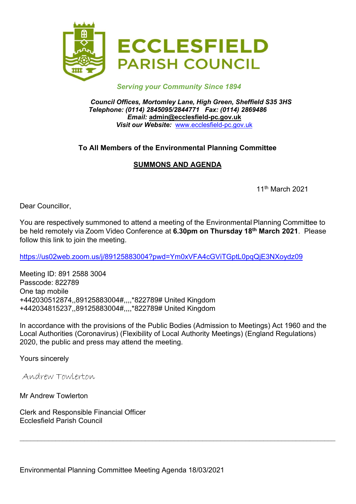

#### Serving your Community Since 1894

Council Offices, Mortomley Lane, High Green, Sheffield S35 3HS Telephone: (0114) 2845095/2844771 Fax: (0114) 2869486 Email: admin@ecclesfield-pc.gov.uk Visit our Website: www.ecclesfield-pc.gov.uk

## To All Members of the Environmental Planning Committee

# SUMMONS AND AGENDA

11th March 2021

Dear Councillor,

You are respectively summoned to attend a meeting of the Environmental Planning Committee to be held remotely via Zoom Video Conference at 6.30pm on Thursday 18<sup>th</sup> March 2021. Please follow this link to join the meeting.

https://us02web.zoom.us/j/89125883004?pwd=Ym0xVFA4cGViTGptL0pqQjE3NXoydz09

Meeting ID: 891 2588 3004 Passcode: 822789 One tap mobile +442030512874,,89125883004#,,,,\*822789# United Kingdom +442034815237,,89125883004#,,,,\*822789# United Kingdom

In accordance with the provisions of the Public Bodies (Admission to Meetings) Act 1960 and the Local Authorities (Coronavirus) (Flexibility of Local Authority Meetings) (England Regulations) 2020, the public and press may attend the meeting.

Yours sincerely

Andrew Towlerton

Mr Andrew Towlerton

Clerk and Responsible Financial Officer Ecclesfield Parish Council

Environmental Planning Committee Meeting Agenda 18/03/2021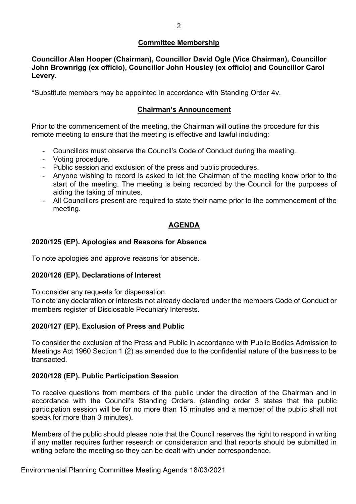#### Committee Membership

Councillor Alan Hooper (Chairman), Councillor David Ogle (Vice Chairman), Councillor John Brownrigg (ex officio), Councillor John Housley (ex officio) and Councillor Carol Levery.

\*Substitute members may be appointed in accordance with Standing Order 4v.

## Chairman's Announcement

Prior to the commencement of the meeting, the Chairman will outline the procedure for this remote meeting to ensure that the meeting is effective and lawful including:

- Councillors must observe the Council's Code of Conduct during the meeting.
- Voting procedure.
- Public session and exclusion of the press and public procedures.
- Anyone wishing to record is asked to let the Chairman of the meeting know prior to the start of the meeting. The meeting is being recorded by the Council for the purposes of aiding the taking of minutes.
- All Councillors present are required to state their name prior to the commencement of the meeting.

## AGENDA

## 2020/125 (EP). Apologies and Reasons for Absence

To note apologies and approve reasons for absence.

#### 2020/126 (EP). Declarations of Interest

To consider any requests for dispensation.

To note any declaration or interests not already declared under the members Code of Conduct or members register of Disclosable Pecuniary Interests.

#### 2020/127 (EP). Exclusion of Press and Public

To consider the exclusion of the Press and Public in accordance with Public Bodies Admission to Meetings Act 1960 Section 1 (2) as amended due to the confidential nature of the business to be transacted.

#### 2020/128 (EP). Public Participation Session

To receive questions from members of the public under the direction of the Chairman and in accordance with the Council's Standing Orders. (standing order 3 states that the public participation session will be for no more than 15 minutes and a member of the public shall not speak for more than 3 minutes).

Members of the public should please note that the Council reserves the right to respond in writing if any matter requires further research or consideration and that reports should be submitted in writing before the meeting so they can be dealt with under correspondence.

Environmental Planning Committee Meeting Agenda 18/03/2021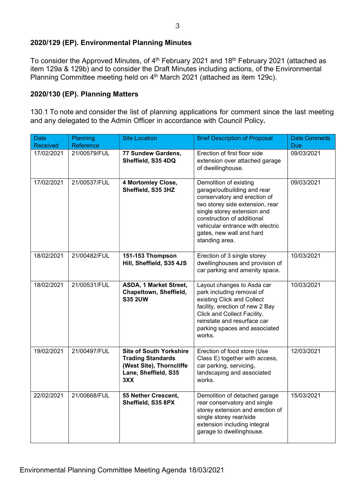## 2020/129 (EP). Environmental Planning Minutes

To consider the Approved Minutes, of 4<sup>th</sup> February 2021 and 18<sup>th</sup> February 2021 (attached as item 129a & 129b) and to consider the Draft Minutes including actions, of the Environmental Planning Committee meeting held on 4<sup>th</sup> March 2021 (attached as item 129c).

#### 2020/130 (EP). Planning Matters

130.1 To note and consider the list of planning applications for comment since the last meeting and any delegated to the Admin Officer in accordance with Council Policy.

| <b>Date</b><br><b>Received</b> | Planning<br>Reference | <b>Site Location</b>                                                                                                  | <b>Brief Description of Proposal</b>                                                                                                                                                                                                                                    | <b>Date Comments</b><br>Due |
|--------------------------------|-----------------------|-----------------------------------------------------------------------------------------------------------------------|-------------------------------------------------------------------------------------------------------------------------------------------------------------------------------------------------------------------------------------------------------------------------|-----------------------------|
| 17/02/2021                     | 21/00579/FUL          | 77 Sundew Gardens,<br>Sheffield, S35 4DQ                                                                              | Erection of first floor side<br>extension over attached garage<br>of dwellinghouse.                                                                                                                                                                                     | 09/03/2021                  |
| 17/02/2021                     | 21/00537/FUL          | 4 Mortomley Close,<br>Sheffield, S35 3HZ                                                                              | Demolition of existing<br>garage/outbuilding and rear<br>conservatory and erection of<br>two storey side extension, rear<br>single storey extension and<br>construction of additional<br>vehicular entrance with electric<br>gates, new wall and hard<br>standing area. | 09/03/2021                  |
| 18/02/2021                     | 21/00482/FUL          | 151-153 Thompson<br>Hill, Sheffield, S35 4JS                                                                          | Erection of 3 single storey<br>dwellinghouses and provision of<br>car parking and amenity space.                                                                                                                                                                        | 10/03/2021                  |
| 18/02/2021                     | 21/00531/FUL          | ASDA, 1 Market Street,<br>Chapeltown, Sheffield,<br><b>S35 2UW</b>                                                    | Layout changes to Asda car<br>park including removal of<br>existing Click and Collect<br>facility, erection of new 2 Bay<br>Click and Collect Facility,<br>reinstate and resurface car<br>parking spaces and associated<br>works.                                       | 10/03/2021                  |
| 19/02/2021                     | 21/00497/FUL          | <b>Site of South Yorkshire</b><br><b>Trading Standards</b><br>(West Site), Thorncliffe<br>Lane, Sheffield, S35<br>3XX | Erection of food store (Use<br>Class E) together with access,<br>car parking, servicing,<br>landscaping and associated<br>works.                                                                                                                                        | 12/03/2021                  |
| 22/02/2021                     | 21/00668/FUL          | 55 Nether Crescent,<br>Sheffield, S35 8PX                                                                             | Demolition of detached garage<br>rear conservatory and single<br>storey extension and erection of<br>single storey rear/side<br>extension including integral<br>garage to dwellinghouse.                                                                                | 15/03/2021                  |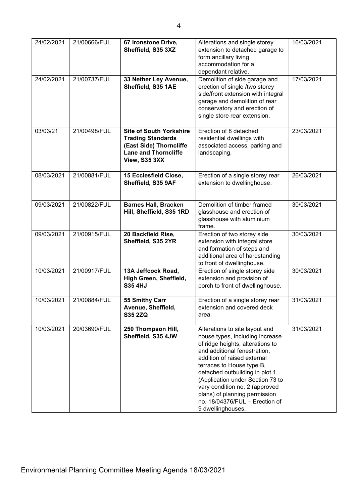| 24/02/2021<br>24/02/2021 | 21/00666/FUL<br>21/00737/FUL | 67 Ironstone Drive,<br>Sheffield, S35 3XZ<br>33 Nether Ley Avenue,<br>Sheffield, S35 1AE                                              | Alterations and single storey<br>extension to detached garage to<br>form ancillary living<br>accommodation for a<br>dependant relative.<br>Demolition of side garage and<br>erection of single /two storey<br>side/front extension with integral<br>garage and demolition of rear<br>conservatory and erection of<br>single store rear extension.                                                 | 16/03/2021<br>17/03/2021 |
|--------------------------|------------------------------|---------------------------------------------------------------------------------------------------------------------------------------|---------------------------------------------------------------------------------------------------------------------------------------------------------------------------------------------------------------------------------------------------------------------------------------------------------------------------------------------------------------------------------------------------|--------------------------|
| 03/03/21                 | 21/00498/FUL                 | <b>Site of South Yorkshire</b><br><b>Trading Standards</b><br>(East Side) Thorncliffe<br><b>Lane and Thorncliffe</b><br>View, S35 3XX | Erection of 8 detached<br>residential dwellings with<br>associated access, parking and<br>landscaping.                                                                                                                                                                                                                                                                                            | 23/03/2021               |
| 08/03/2021               | 21/00881/FUL                 | 15 Ecclesfield Close,<br>Sheffield, S35 9AF                                                                                           | Erection of a single storey rear<br>extension to dwellinghouse.                                                                                                                                                                                                                                                                                                                                   | 26/03/2021               |
| 09/03/2021               | 21/00822/FUL                 | <b>Barnes Hall, Bracken</b><br>Hill, Sheffield, S35 1RD                                                                               | Demolition of timber framed<br>glasshouse and erection of<br>glasshouse with aluminium<br>frame.                                                                                                                                                                                                                                                                                                  | 30/03/2021               |
| 09/03/2021               | 21/00915/FUL                 | 20 Backfield Rise,<br>Sheffield, S35 2YR                                                                                              | Erection of two storey side<br>extension with integral store<br>and formation of steps and<br>additional area of hardstanding<br>to front of dwellinghouse.                                                                                                                                                                                                                                       | 30/03/2021               |
| 10/03/2021               | 21/00917/FUL                 | 13A Jeffcock Road,<br>High Green, Sheffield,<br><b>S35 4HJ</b>                                                                        | Erection of single storey side<br>extension and provision of<br>porch to front of dwellinghouse.                                                                                                                                                                                                                                                                                                  | 30/03/2021               |
| 10/03/2021               | 21/00884/FUL                 | 55 Smithy Carr<br>Avenue, Sheffield,<br><b>S35 2ZQ</b>                                                                                | Erection of a single storey rear<br>extension and covered deck<br>area.                                                                                                                                                                                                                                                                                                                           | 31/03/2021               |
| 10/03/2021               | 20/03690/FUL                 | 250 Thompson Hill,<br>Sheffield, S35 4JW                                                                                              | Alterations to site layout and<br>house types, including increase<br>of ridge heights, alterations to<br>and additional fenestration,<br>addition of raised external<br>terraces to House type B,<br>detached outbuilding in plot 1<br>(Application under Section 73 to<br>vary condition no. 2 (approved<br>plans) of planning permission<br>no. 18/04376/FUL - Erection of<br>9 dwellinghouses. | 31/03/2021               |